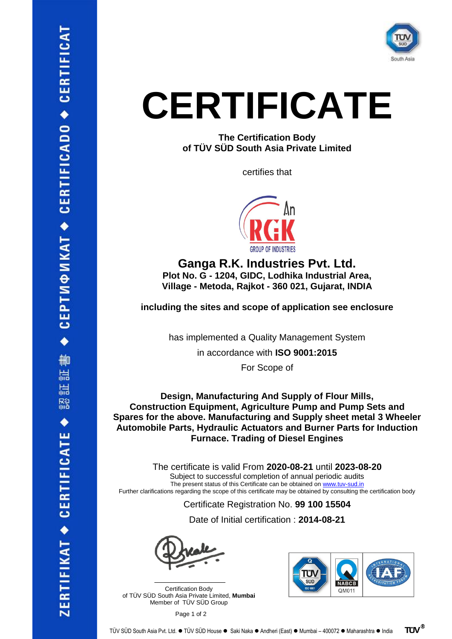

## **CERTIFICATE**

**The Certification Body of TÜV SÜD South Asia Private Limited**

certifies that



**Ganga R.K. Industries Pvt. Ltd. Plot No. G - 1204, GIDC, Lodhika Industrial Area, Village - Metoda, Rajkot - 360 021, Gujarat, INDIA**

**including the sites and scope of application see enclosure**

has implemented a Quality Management System

in accordance with **ISO 9001:2015**

For Scope of

**Design, Manufacturing And Supply of Flour Mills, Construction Equipment, Agriculture Pump and Pump Sets and Spares for the above. Manufacturing and Supply sheet metal 3 Wheeler Automobile Parts, Hydraulic Actuators and Burner Parts for Induction Furnace. Trading of Diesel Engines**

The certificate is valid From **2020-08-21** until **2023-08-20** Subject to successful completion of annual periodic audits The present status of this Certificate can be obtained on [www.tuv-sud.in](http://www.tuv-sud.in/) Further clarifications regarding the scope of this certificate may be obtained by consulting the certification body

Certificate Registration No. **99 100 15504**

Date of Initial certification : **2014-08-21**

Certification Body of TÜV SÜD South Asia Private Limited, **Mumbai** Member of TÜV SÜD Group

 $\mathcal{L}=\mathcal{L}^{\mathcal{L}}$  , where  $\mathcal{L}^{\mathcal{L}}$  , we have the set of the set of the set of the set of the set of the set of the set of the set of the set of the set of the set of the set of the set of the set of the set of



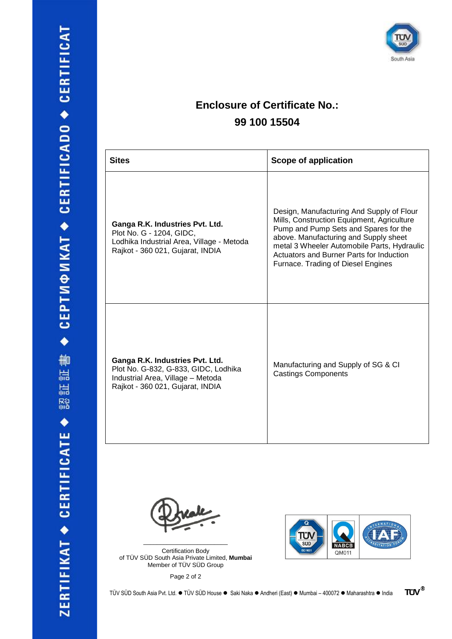

## **Enclosure of Certificate No.: 99 100 15504**

| <b>Sites</b>                                                                                                                                     | <b>Scope of application</b>                                                                                                                                                                                                                                                                                |
|--------------------------------------------------------------------------------------------------------------------------------------------------|------------------------------------------------------------------------------------------------------------------------------------------------------------------------------------------------------------------------------------------------------------------------------------------------------------|
| Ganga R.K. Industries Pvt. Ltd.<br>Plot No. G - 1204, GIDC,<br>Lodhika Industrial Area, Village - Metoda<br>Rajkot - 360 021, Gujarat, INDIA     | Design, Manufacturing And Supply of Flour<br>Mills, Construction Equipment, Agriculture<br>Pump and Pump Sets and Spares for the<br>above. Manufacturing and Supply sheet<br>metal 3 Wheeler Automobile Parts, Hydraulic<br>Actuators and Burner Parts for Induction<br>Furnace. Trading of Diesel Engines |
| Ganga R.K. Industries Pvt. Ltd.<br>Plot No. G-832, G-833, GIDC, Lodhika<br>Industrial Area, Village - Metoda<br>Rajkot - 360 021, Gujarat, INDIA | Manufacturing and Supply of SG & CI<br><b>Castings Components</b>                                                                                                                                                                                                                                          |

Certification Body of TÜV SÜD South Asia Private Limited, **Mumbai** Member of TÜV SÜD Group

\_\_\_\_\_\_\_\_\_\_\_\_\_\_\_\_\_\_\_\_\_\_\_\_\_

Page 2 of 2

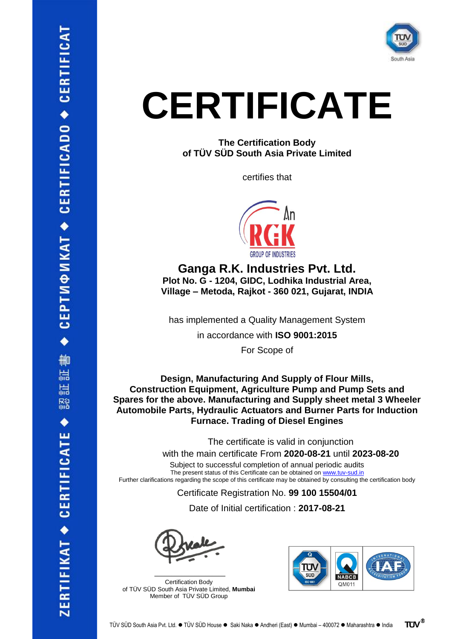

## **CERTIFICATE**

**The Certification Body of TÜV SÜD South Asia Private Limited**

certifies that



**Ganga R.K. Industries Pvt. Ltd. Plot No. G - 1204, GIDC, Lodhika Industrial Area, Village – Metoda, Rajkot - 360 021, Gujarat, INDIA**

has implemented a Quality Management System

in accordance with **ISO 9001:2015**

For Scope of

**Design, Manufacturing And Supply of Flour Mills, Construction Equipment, Agriculture Pump and Pump Sets and Spares for the above. Manufacturing and Supply sheet metal 3 Wheeler Automobile Parts, Hydraulic Actuators and Burner Parts for Induction Furnace. Trading of Diesel Engines**

The certificate is valid in conjunction

with the main certificate From **2020-08-21** until **2023-08-20**

Subject to successful completion of annual periodic audits The present status of this Certificate can be obtained on [www.tuv-sud.in](http://www.tuv-sud.in/) Further clarifications regarding the scope of this certificate may be obtained by consulting the certification body

Certificate Registration No. **99 100 15504/01**

Date of Initial certification : **2017-08-21**

 $\mathcal{L}$  , and the set of the set of the set of the set of the set of the set of the set of the set of the set of the set of the set of the set of the set of the set of the set of the set of the set of the set of the set Certification Body of TÜV SÜD South Asia Private Limited, **Mumbai** Member of TÜV SÜD Group



**TUV®**